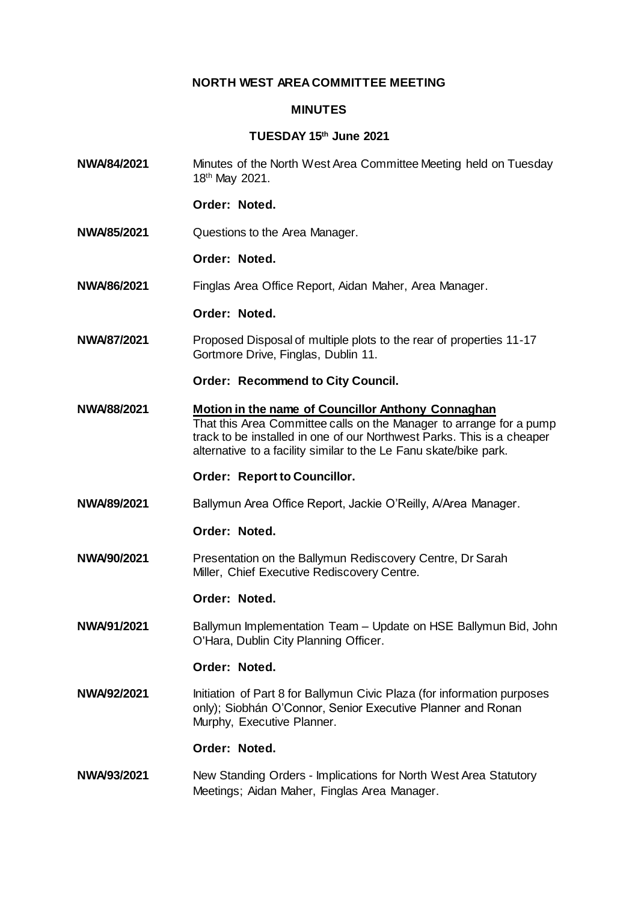# **NORTH WEST AREA COMMITTEE MEETING**

### **MINUTES**

## **TUESDAY 15th June 2021**

**NWA/84/2021** Minutes of the North West Area Committee Meeting held on Tuesday 18th May 2021.

# **Order: Noted.**

**NWA/85/2021** Questions to the Area Manager.

### **Order: Noted.**

**NWA/86/2021** Finglas Area Office Report, Aidan Maher, Area Manager.

## **Order: Noted.**

**NWA/87/2021** Proposed Disposal of multiple plots to the rear of properties 11-17 Gortmore Drive, Finglas, Dublin 11.

### **Order: Recommend to City Council.**

**NWA/88/2021 Motion in the name of Councillor Anthony Connaghan** That this Area Committee calls on the Manager to arrange for a pump track to be installed in one of our Northwest Parks. This is a cheaper alternative to a facility similar to the Le Fanu skate/bike park.

## **Order: Report to Councillor.**

**NWA/89/2021** Ballymun Area Office Report, Jackie O'Reilly, A/Area Manager.

#### **Order: Noted.**

**NWA/90/2021** Presentation on the Ballymun Rediscovery Centre, Dr Sarah Miller, Chief Executive Rediscovery Centre.

#### **Order: Noted.**

**NWA/91/2021** Ballymun Implementation Team – Update on HSE Ballymun Bid, John O'Hara, Dublin City Planning Officer.

#### **Order: Noted.**

**NWA/92/2021** Initiation of Part 8 for Ballymun Civic Plaza (for information purposes only); Siobhán O'Connor, Senior Executive Planner and Ronan Murphy, Executive Planner.

#### **Order: Noted.**

**NWA/93/2021** New Standing Orders - Implications for North West Area Statutory Meetings; Aidan Maher, Finglas Area Manager.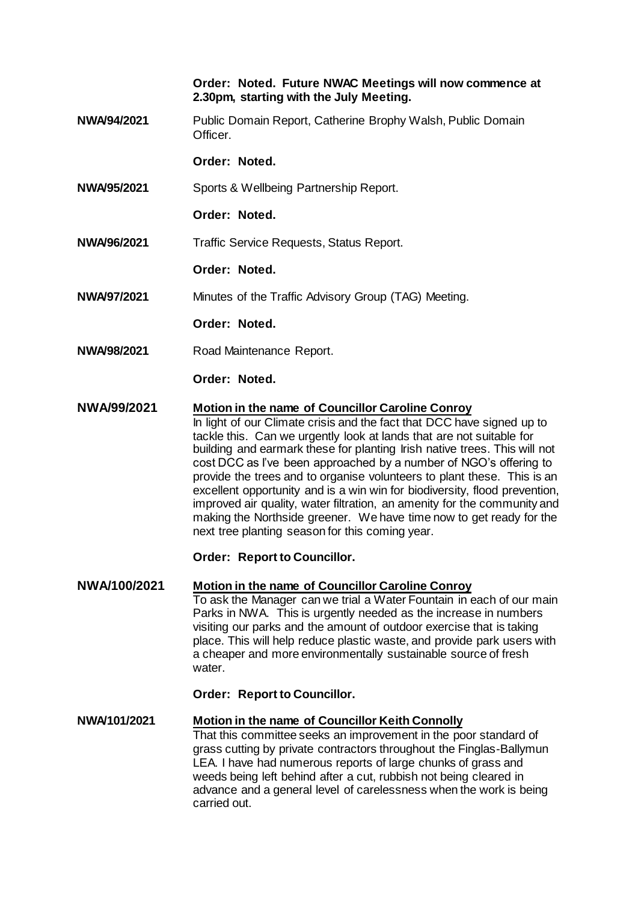**Order: Noted. Future NWAC Meetings will now commence at 2.30pm, starting with the July Meeting.**

**NWA/94/2021** Public Domain Report, Catherine Brophy Walsh, Public Domain Officer.

**Order: Noted.**

- **NWA/95/2021** Sports & Wellbeing Partnership Report.
	- **Order: Noted.**
- **NWA/96/2021** Traffic Service Requests, Status Report.
	- **Order: Noted.**
- **NWA/97/2021** Minutes of the Traffic Advisory Group (TAG) Meeting.
	- **Order: Noted.**
- **NWA/98/2021** Road Maintenance Report.

**Order: Noted.**

**NWA/99/2021 Motion in the name of Councillor Caroline Conroy**

In light of our Climate crisis and the fact that DCC have signed up to tackle this. Can we urgently look at lands that are not suitable for building and earmark these for planting Irish native trees. This will not cost DCC as I've been approached by a number of NGO's offering to provide the trees and to organise volunteers to plant these. This is an excellent opportunity and is a win win for biodiversity, flood prevention, improved air quality, water filtration, an amenity for the community and making the Northside greener. We have time now to get ready for the next tree planting season for this coming year.

## **Order: Report to Councillor.**

**NWA/100/2021 Motion in the name of Councillor Caroline Conroy** To ask the Manager can we trial a Water Fountain in each of our main Parks in NWA. This is urgently needed as the increase in numbers visiting our parks and the amount of outdoor exercise that is taking place. This will help reduce plastic waste, and provide park users with a cheaper and more environmentally sustainable source of fresh water.

**Order: Report to Councillor.**

**NWA/101/2021 Motion in the name of Councillor Keith Connolly** That this committee seeks an improvement in the poor standard of grass cutting by private contractors throughout the Finglas-Ballymun LEA. I have had numerous reports of large chunks of grass and weeds being left behind after a cut, rubbish not being cleared in advance and a general level of carelessness when the work is being carried out.